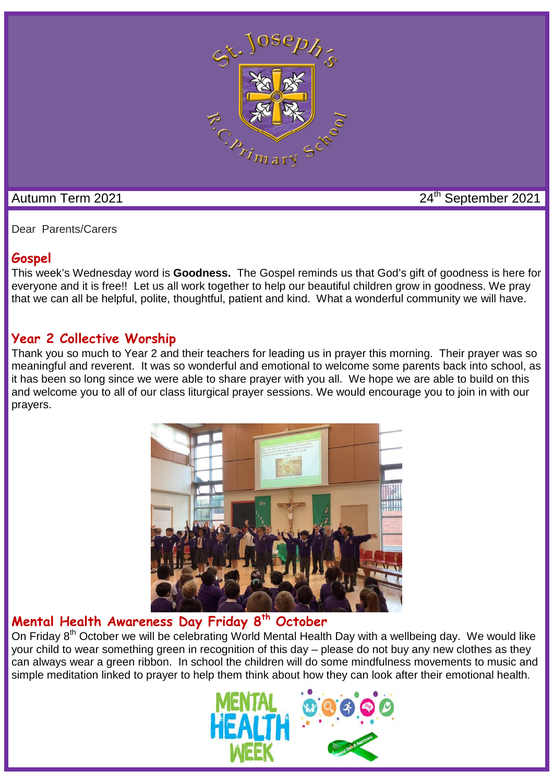

Autumn Term 2021 24th September 2021

Dear Parents/Carers

# **Gospel**

This week's Wednesday word is **Goodness.** The Gospel reminds us that God's gift of goodness is here for everyone and it is free!! Let us all work together to help our beautiful children grow in goodness. We pray that we can all be helpful, polite, thoughtful, patient and kind. What a wonderful community we will have.

# **Year 2 Collective Worship**

Thank you so much to Year 2 and their teachers for leading us in prayer this morning. Their prayer was so meaningful and reverent. It was so wonderful and emotional to welcome some parents back into school, as it has been so long since we were able to share prayer with you all. We hope we are able to build on this and welcome you to all of our class liturgical prayer sessions. We would encourage you to join in with our prayers.



# **Mental Health Awareness Day Friday 8th October**

On Friday 8<sup>th</sup> October we will be celebrating World Mental Health Day with a wellbeing day. We would like your child to wear something green in recognition of this day – please do not buy any new clothes as they can always wear a green ribbon. In school the children will do some mindfulness movements to music and simple meditation linked to prayer to help them think about how they can look after their emotional health.

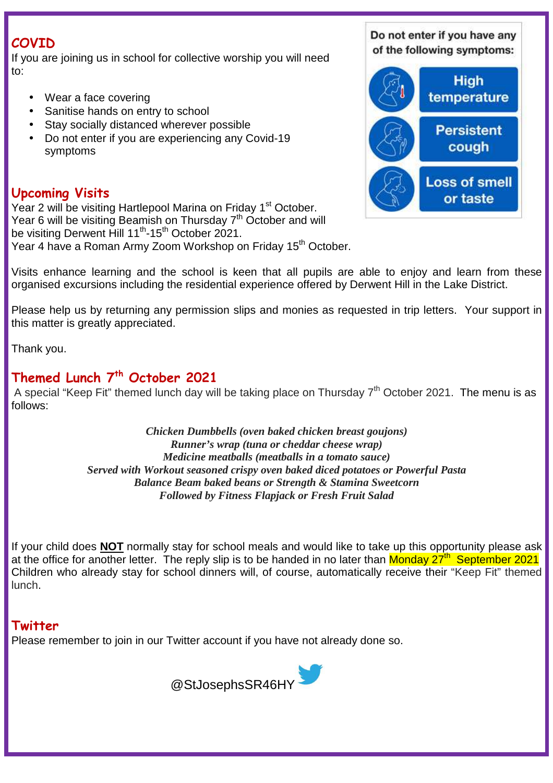# **COVID**

If you are joining us in school for collective worship you will need to:

- Wear a face covering
- Sanitise hands on entry to school
- Stay socially distanced wherever possible
- Do not enter if you are experiencing any Covid-19 symptoms

# **Upcoming Visits**

Year 2 will be visiting Hartlepool Marina on Friday 1<sup>st</sup> October. Year 6 will be visiting Beamish on Thursday 7<sup>th</sup> October and will be visiting Derwent Hill 11<sup>th</sup>-15<sup>th</sup> October 2021.

Year 4 have a Roman Army Zoom Workshop on Friday 15<sup>th</sup> October.

Do not enter if you have any of the following symptoms:



Visits enhance learning and the school is keen that all pupils are able to enjoy and learn from these organised excursions including the residential experience offered by Derwent Hill in the Lake District.

Please help us by returning any permission slips and monies as requested in trip letters. Your support in this matter is greatly appreciated.

Thank you.

# **Themed Lunch 7th October 2021**

A special "Keep Fit" themed lunch day will be taking place on Thursday 7<sup>th</sup> October 2021. The menu is as follows:

> *Chicken Dumbbells (oven baked chicken breast goujons) Runner's wrap (tuna or cheddar cheese wrap) Medicine meatballs (meatballs in a tomato sauce) Served with Workout seasoned crispy oven baked diced potatoes or Powerful Pasta Balance Beam baked beans or Strength & Stamina Sweetcorn Followed by Fitness Flapjack or Fresh Fruit Salad*

If your child does **NOT** normally stay for school meals and would like to take up this opportunity please ask at the office for another letter. The reply slip is to be handed in no later than Monday 27<sup>th</sup> September 2021 Children who already stay for school dinners will, of course, automatically receive their "Keep Fit" themed lunch.

## **Twitter**

Please remember to join in our Twitter account if you have not already done so.

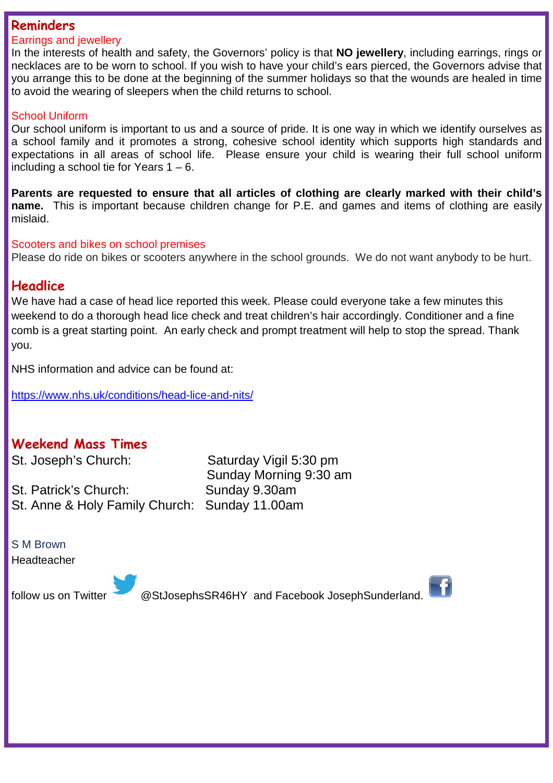### **Reminders**

#### Earrings and jewellery

In the interests of health and safety, the Governors' policy is that **NO jewellery**, including earrings, rings or necklaces are to be worn to school. If you wish to have your child's ears pierced, the Governors advise that you arrange this to be done at the beginning of the summer holidays so that the wounds are healed in time to avoid the wearing of sleepers when the child returns to school.

#### School Uniform

Our school uniform is important to us and a source of pride. It is one way in which we identify ourselves as a school family and it promotes a strong, cohesive school identity which supports high standards and expectations in all areas of school life. Please ensure your child is wearing their full school uniform including a school tie for Years  $1 - 6$ .

**Parents are requested to ensure that all articles of clothing are clearly marked with their child's name.** This is important because children change for P.E. and games and items of clothing are easily mislaid.

#### Scooters and bikes on school premises

Please do ride on bikes or scooters anywhere in the school grounds. We do not want anybody to be hurt.

### **Headlice**

We have had a case of head lice reported this week. Please could everyone take a few minutes this weekend to do a thorough head lice check and treat children's hair accordingly. Conditioner and a fine comb is a great starting point. An early check and prompt treatment will help to stop the spread. Thank you.

NHS information and advice can be found at:

https://www.nhs.uk/conditions/head-lice-and-nits/

## **Weekend Mass Times**

St. Patrick's Church: Sunday 9.30am St. Anne & Holy Family Church: Sunday 11.00am

St. Joseph's Church: Saturday Vigil 5:30 pm Sunday Morning 9:30 am

S M Brown Headteacher

follow us on Twitter @StJosephsSR46HY and Facebook JosephSunderland.

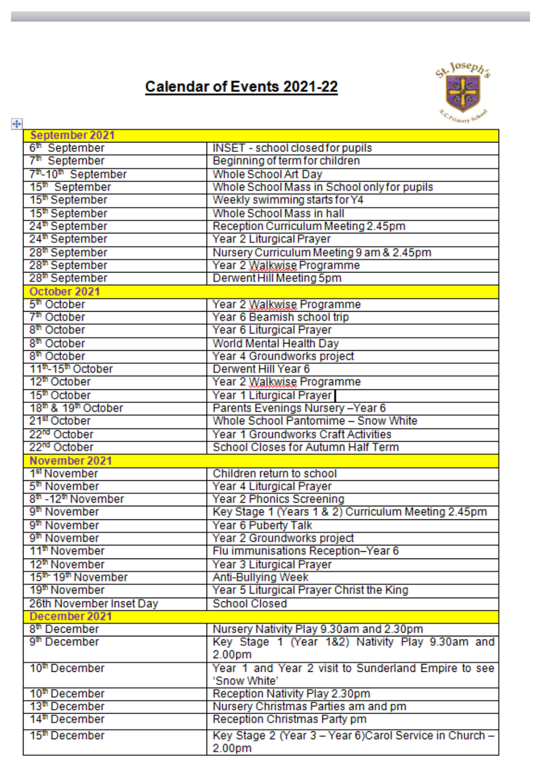# **Calendar of Events 2021-22**



| $\ddot{\ddagger}$                           | Primary St.                                             |
|---------------------------------------------|---------------------------------------------------------|
| September 2021                              |                                                         |
| 6 <sup>th</sup> September                   | <b>INSET - school closed for pupils</b>                 |
| 7 <sup>th</sup> September                   | Beginning of term for children                          |
| 7 <sup>th</sup> -10 <sup>th</sup> September | Whole School Art Day                                    |
| 15 <sup>th</sup> September                  | Whole School Mass in School only for pupils             |
| 15 <sup>th</sup> September                  | Weekly swimming starts for Y4                           |
| 15 <sup>th</sup> September                  | Whole School Mass in hall                               |
| 24 <sup>th</sup> September                  | Reception Curriculum Meeting 2.45pm                     |
| 24 <sup>th</sup> September                  | Year 2 Liturgical Prayer                                |
| 28 <sup>th</sup> September                  | Nursery Curriculum Meeting 9 am & 2.45pm                |
| 28 <sup>th</sup> September                  | Year 2 Walkwise Programme                               |
| 28 <sup>th</sup> September                  | Derwent Hill Meeting 5pm                                |
| October 2021                                |                                                         |
| 5 <sup>th</sup> October                     | Year 2 Walkwise Programme                               |
| 7 <sup>th</sup> October                     | Year 6 Beamish school trip                              |
| 8 <sup>th</sup> October                     | Year 6 Liturgical Prayer                                |
| 8 <sup>th</sup> October                     | World Mental Health Day                                 |
| 8 <sup>th</sup> October                     | Year 4 Groundworks project                              |
| 11 <sup>th</sup> -15 <sup>th</sup> October  | Derwent Hill Year 6                                     |
| 12 <sup>th</sup> October                    | Year 2 Walkwise Programme                               |
| 15 <sup>th</sup> October                    | Year 1 Liturgical Prayer                                |
| 18 <sup>th</sup> & 19 <sup>th</sup> October | Parents Evenings Nursery-Year 6                         |
| 21 <sup>st</sup> October                    | Whole School Pantomime - Snow White                     |
| 22 <sup>nd</sup> October                    | Year 1 Groundworks Craft Activities                     |
| 22 <sup>nd</sup> October                    | School Closes for Autumn Half Term                      |
| November 2021                               |                                                         |
| 1 <sup>st</sup> November                    | Children return to school                               |
| 5 <sup>th</sup> November                    | Year 4 Liturgical Prayer                                |
| 8 <sup>th</sup> -12 <sup>th</sup> November  | Year 2 Phonics Screening                                |
| 9 <sup>th</sup> November                    | Key Stage 1 (Years 1 & 2) Curriculum Meeting 2.45pm     |
| 9 <sup>th</sup> November                    | Year 6 Puberty Talk                                     |
| 9 <sup>th</sup> November                    | Year 2 Groundworks project                              |
| 11 <sup>th</sup> November                   | Flu immunisations Reception-Year 6                      |
| 12 <sup>th</sup> November                   | Year 3 Liturgical Prayer                                |
| 15 <sup>th</sup> 19 <sup>th</sup> November  | Anti-Bullying Week                                      |
| 19 <sup>th</sup> November                   | Year 5 Liturgical Prayer Christ the King                |
| 26th November Inset Day                     | <b>School Closed</b>                                    |
| December 2021                               |                                                         |
| 8 <sup>th</sup> December                    | Nursery Nativity Play 9.30am and 2.30pm                 |
| 9 <sup>th</sup> December                    | Key Stage 1 (Year 1&2) Nativity Play 9.30am and         |
|                                             | 2.00pm                                                  |
| 10 <sup>th</sup> December                   | Year 1 and Year 2 visit to Sunderland Empire to see     |
|                                             | 'Snow White'                                            |
| 10 <sup>th</sup> December                   | Reception Nativity Play 2.30pm                          |
| 13 <sup>th</sup> December                   | Nursery Christmas Parties am and pm                     |
| 14 <sup>th</sup> December                   | Reception Christmas Party pm                            |
| 15 <sup>th</sup> December                   | Key Stage 2 (Year 3 - Year 6) Carol Service in Church - |
|                                             | 2.00pm                                                  |